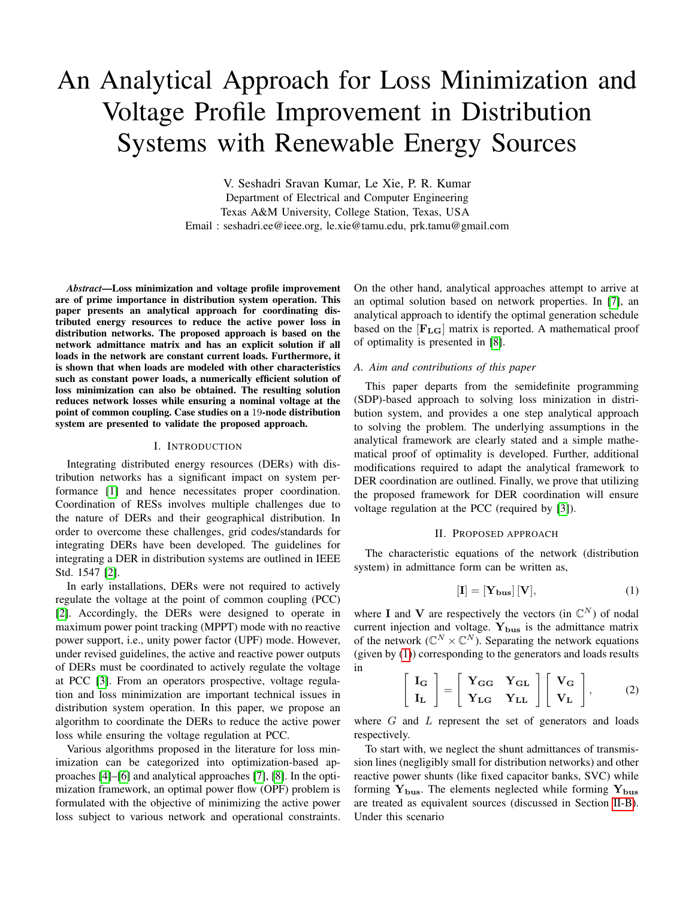# An Analytical Approach for Loss Minimization and Voltage Profile Improvement in Distribution Systems with Renewable Energy Sources

V. Seshadri Sravan Kumar, Le Xie, P. R. Kumar Department of Electrical and Computer Engineering Texas A&M University, College Station, Texas, USA Email : seshadri.ee@ieee.org, le.xie@tamu.edu, prk.tamu@gmail.com

*Abstract*—Loss minimization and voltage profile improvement are of prime importance in distribution system operation. This paper presents an analytical approach for coordinating distributed energy resources to reduce the active power loss in distribution networks. The proposed approach is based on the network admittance matrix and has an explicit solution if all loads in the network are constant current loads. Furthermore, it is shown that when loads are modeled with other characteristics such as constant power loads, a numerically efficient solution of loss minimization can also be obtained. The resulting solution reduces network losses while ensuring a nominal voltage at the point of common coupling. Case studies on a 19-node distribution system are presented to validate the proposed approach.

#### I. INTRODUCTION

Integrating distributed energy resources (DERs) with distribution networks has a significant impact on system performance [\[1\]](#page-4-0) and hence necessitates proper coordination. Coordination of RESs involves multiple challenges due to the nature of DERs and their geographical distribution. In order to overcome these challenges, grid codes/standards for integrating DERs have been developed. The guidelines for integrating a DER in distribution systems are outlined in IEEE Std. 1547 [\[2\]](#page-4-1).

In early installations, DERs were not required to actively regulate the voltage at the point of common coupling (PCC) [\[2\]](#page-4-1). Accordingly, the DERs were designed to operate in maximum power point tracking (MPPT) mode with no reactive power support, i.e., unity power factor (UPF) mode. However, under revised guidelines, the active and reactive power outputs of DERs must be coordinated to actively regulate the voltage at PCC [\[3\]](#page-4-2). From an operators prospective, voltage regulation and loss minimization are important technical issues in distribution system operation. In this paper, we propose an algorithm to coordinate the DERs to reduce the active power loss while ensuring the voltage regulation at PCC.

Various algorithms proposed in the literature for loss minimization can be categorized into optimization-based approaches [\[4\]](#page-4-3)–[\[6\]](#page-4-4) and analytical approaches [\[7\]](#page-4-5), [\[8\]](#page-4-6). In the optimization framework, an optimal power flow (OPF) problem is formulated with the objective of minimizing the active power loss subject to various network and operational constraints. On the other hand, analytical approaches attempt to arrive at an optimal solution based on network properties. In [\[7\]](#page-4-5), an analytical approach to identify the optimal generation schedule based on the  $[F_{LG}]$  matrix is reported. A mathematical proof of optimality is presented in [\[8\]](#page-4-6).

#### *A. Aim and contributions of this paper*

This paper departs from the semidefinite programming (SDP)-based approach to solving loss minization in distribution system, and provides a one step analytical approach to solving the problem. The underlying assumptions in the analytical framework are clearly stated and a simple mathematical proof of optimality is developed. Further, additional modifications required to adapt the analytical framework to DER coordination are outlined. Finally, we prove that utilizing the proposed framework for DER coordination will ensure voltage regulation at the PCC (required by [\[3\]](#page-4-2)).

#### II. PROPOSED APPROACH

The characteristic equations of the network (distribution system) in admittance form can be written as,

<span id="page-0-0"></span>
$$
[\mathbf{I}] = [\mathbf{Y_{bus}}] [\mathbf{V}], \tag{1}
$$

where I and V are respectively the vectors (in  $\mathbb{C}^N$ ) of nodal current injection and voltage.  $Y_{bus}$  is the admittance matrix of the network  $(\mathbb{C}^N \times \mathbb{C}^N)$ . Separating the network equations (given by [\(1\)](#page-0-0)) corresponding to the generators and loads results in

<span id="page-0-1"></span>
$$
\begin{bmatrix} \mathbf{I}_{\mathbf{G}} \\ \mathbf{I}_{\mathbf{L}} \end{bmatrix} = \begin{bmatrix} \mathbf{Y}_{\mathbf{G}\mathbf{G}} & \mathbf{Y}_{\mathbf{G}\mathbf{L}} \\ \mathbf{Y}_{\mathbf{L}\mathbf{G}} & \mathbf{Y}_{\mathbf{L}\mathbf{L}} \end{bmatrix} \begin{bmatrix} \mathbf{V}_{\mathbf{G}} \\ \mathbf{V}_{\mathbf{L}} \end{bmatrix},
$$
 (2)

where  $G$  and  $L$  represent the set of generators and loads respectively.

To start with, we neglect the shunt admittances of transmission lines (negligibly small for distribution networks) and other reactive power shunts (like fixed capacitor banks, SVC) while forming  $Y_{bus}$ . The elements neglected while forming  $Y_{bus}$ are treated as equivalent sources (discussed in Section [II-B\)](#page-2-0). Under this scenario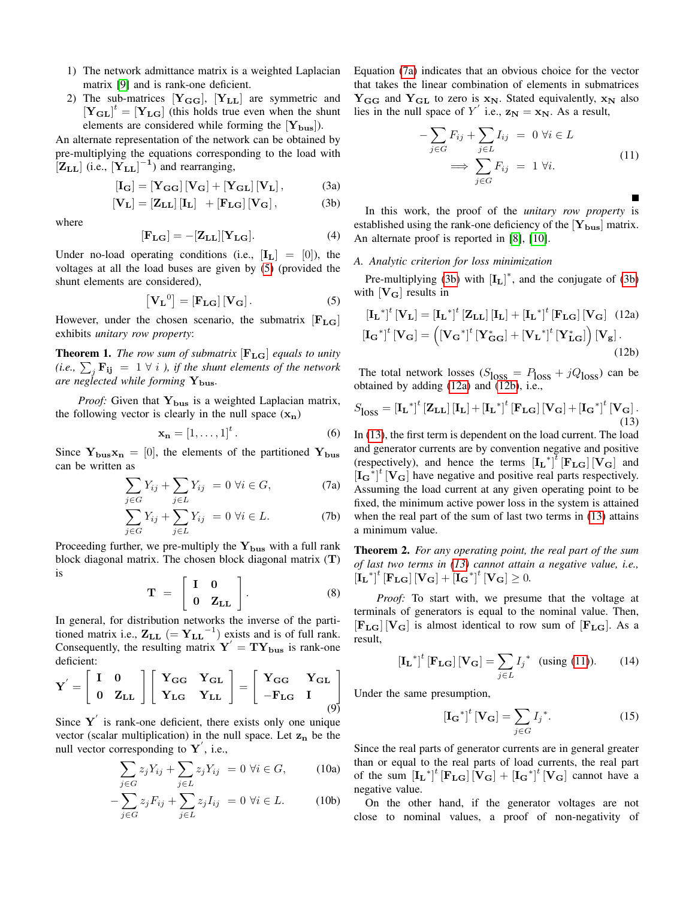- 1) The network admittance matrix is a weighted Laplacian matrix [\[9\]](#page-4-7) and is rank-one deficient.
- 2) The sub-matrices  $[Y_{GG}]$ ,  $[Y_{LL}]$  are symmetric and  $[\mathbf{Y}_{\mathbf{GL}}]^t = [\mathbf{Y}_{\mathbf{LG}}]$  (this holds true even when the shunt elements are considered while forming the  $[Y_{bus}]$ ).

An alternate representation of the network can be obtained by pre-multiplying the equations corresponding to the load with  $\left[\mathbf{Z}_{\mathbf{L}\mathbf{L}}\right]$  (i.e.,  $\left[\mathbf{Y}_{\mathbf{L}\mathbf{L}}\right]^{-1}$ ) and rearranging,

$$
\begin{bmatrix} \mathbf{I}_{\mathbf{G}} \end{bmatrix} = \begin{bmatrix} \mathbf{Y}_{\mathbf{G}\mathbf{G}} \end{bmatrix} \begin{bmatrix} \mathbf{V}_{\mathbf{G}} \end{bmatrix} + \begin{bmatrix} \mathbf{Y}_{\mathbf{G}\mathbf{L}} \end{bmatrix} \begin{bmatrix} \mathbf{V}_{\mathbf{L}} \end{bmatrix}, \tag{3a}
$$

$$
[\mathbf{V}_{\mathbf{L}}] = [\mathbf{Z}_{\mathbf{L}\mathbf{L}}] [\mathbf{I}_{\mathbf{L}}] + [\mathbf{F}_{\mathbf{L}\mathbf{G}}] [\mathbf{V}_{\mathbf{G}}], \tag{3b}
$$

where

$$
[\mathbf{F}_{\mathbf{LG}}] = -[\mathbf{Z}_{\mathbf{LL}}][\mathbf{Y}_{\mathbf{LG}}].\tag{4}
$$

Under no-load operating conditions (i.e.,  $[I_L] = [0]$ ), the voltages at all the load buses are given by [\(5\)](#page-1-0) (provided the shunt elements are considered),

<span id="page-1-0"></span>
$$
\left[\mathbf{V}_{\mathbf{L}}^{0}\right] = \left[\mathbf{F}_{\mathbf{L}\mathbf{G}}\right]\left[\mathbf{V}_{\mathbf{G}}\right].\tag{5}
$$

However, under the chosen scenario, the submatrix  $[F<sub>LG</sub>]$ exhibits *unitary row property*:

Theorem 1. *The row sum of submatrix* [FLG] *equals to unity* (i.e.,  $\sum_j \mathbf{F_{ij}}$  = 1  $\forall$  *i* ), *if the shunt elements of the network are neglected while forming*  $Y_{bus}$ .

*Proof:* Given that  $Y_{bus}$  is a weighted Laplacian matrix, the following vector is clearly in the null space  $(x_n)$ 

$$
\mathbf{x_n} = \left[1, \ldots, 1\right]^t. \tag{6}
$$

Since  $Y_{\text{bus}}x_{\text{n}} = [0]$ , the elements of the partitioned  $Y_{\text{bus}}$ can be written as

$$
\sum_{j \in G} Y_{ij} + \sum_{j \in L} Y_{ij} = 0 \ \forall i \in G,
$$
 (7a)

$$
\sum_{j \in G} Y_{ij} + \sum_{j \in L} Y_{ij} = 0 \ \forall i \in L. \tag{7b}
$$

Proceeding further, we pre-multiply the  $Y_{bus}$  with a full rank block diagonal matrix. The chosen block diagonal matrix (T) is

$$
\mathbf{T} = \begin{bmatrix} \mathbf{I} & \mathbf{0} \\ \mathbf{0} & \mathbf{Z}_{\mathbf{L}\mathbf{L}} \end{bmatrix} . \tag{8}
$$

In general, for distribution networks the inverse of the partitioned matrix i.e.,  $\mathbf{Z}_{\text{LL}}$  (=  $\mathbf{Y}_{\text{LL}}$ <sup>-1</sup>) exists and is of full rank. Consequently, the resulting matrix  $Y' = TY_{bus}$  is rank-one deficient:

$$
\mathbf{Y}' = \begin{bmatrix} \mathbf{I} & \mathbf{0} \\ \mathbf{0} & \mathbf{Z}_{\mathbf{L}\mathbf{L}} \end{bmatrix} \begin{bmatrix} \mathbf{Y}_{\mathbf{G}\mathbf{G}} & \mathbf{Y}_{\mathbf{G}\mathbf{L}} \\ \mathbf{Y}_{\mathbf{L}\mathbf{G}} & \mathbf{Y}_{\mathbf{L}\mathbf{L}} \end{bmatrix} = \begin{bmatrix} \mathbf{Y}_{\mathbf{G}\mathbf{G}} & \mathbf{Y}_{\mathbf{G}\mathbf{L}} \\ -\mathbf{F}_{\mathbf{L}\mathbf{G}} & \mathbf{I} \end{bmatrix} \tag{9}
$$

Since  $Y'$  is rank-one deficient, there exists only one unique vector (scalar multiplication) in the null space. Let  $z_n$  be the null vector corresponding to  $Y'$ , i.e.,

$$
\sum_{j \in G} z_j Y_{ij} + \sum_{j \in L} z_j Y_{ij} = 0 \ \forall i \in G,
$$
 (10a)

$$
-\sum_{j\in G} z_j F_{ij} + \sum_{j\in L} z_j I_{ij} = 0 \,\,\forall i \in L. \tag{10b}
$$

Equation [\(7a\)](#page-1-1) indicates that an obvious choice for the vector that takes the linear combination of elements in submatrices  $Y_{GG}$  and  $Y_{GL}$  to zero is  $x_N$ . Stated equivalently,  $x_N$  also lies in the null space of Y' i.e.,  $z_N = x_N$ . As a result,

$$
-\sum_{j\in G} F_{ij} + \sum_{j\in L} I_{ij} = 0 \ \forall i \in L
$$
  

$$
\implies \sum_{j\in G} F_{ij} = 1 \ \forall i.
$$
 (11)

<span id="page-1-6"></span><span id="page-1-2"></span>In this work, the proof of the *unitary row property* is established using the rank-one deficiency of the  $[Y_{bus}]$  matrix. An alternate proof is reported in [\[8\]](#page-4-6), [\[10\]](#page-4-8).

#### <span id="page-1-8"></span>*A. Analytic criterion for loss minimization*

Pre-multiplying [\(3b\)](#page-1-2) with  $[I_L]^*$ , and the conjugate of (3b) with  $[\mathbf{V}_{\mathbf{G}}]$  results in

<span id="page-1-4"></span><span id="page-1-3"></span>
$$
\begin{aligned} \left[\mathbf{I}_{\mathbf{L}}^{*}\right]^{t}\left[\mathbf{V}_{\mathbf{L}}\right] &= \left[\mathbf{I}_{\mathbf{L}}^{*}\right]^{t}\left[\mathbf{Z}_{\mathbf{L}\mathbf{L}}\right]\left[\mathbf{I}_{\mathbf{L}}\right] + \left[\mathbf{I}_{\mathbf{L}}^{*}\right]^{t}\left[\mathbf{F}_{\mathbf{L}\mathbf{G}}\right]\left[\mathbf{V}_{\mathbf{G}}\right] \quad (12a) \\ \left[\mathbf{I}_{\mathbf{G}}^{*}\right]^{t}\left[\mathbf{V}_{\mathbf{G}}\right] &= \left(\left[\mathbf{V}_{\mathbf{G}}^{*}\right]^{t}\left[\mathbf{Y}_{\mathbf{G}\mathbf{G}}^{*}\right] + \left[\mathbf{V}_{\mathbf{L}}^{*}\right]^{t}\left[\mathbf{Y}_{\mathbf{L}\mathbf{G}}^{*}\right]\right)\left[\mathbf{V}_{\mathbf{g}}\right]. \end{aligned} \tag{12b}
$$

The total network losses ( $S<sub>loss</sub> = P<sub>loss</sub> + jQ<sub>loss</sub>$ ) can be obtained by adding [\(12a\)](#page-1-3) and [\(12b\)](#page-1-4), i.e.,

<span id="page-1-5"></span>
$$
S_{\text{loss}} = \left[\mathbf{I_L}^*\right]^t \left[\mathbf{Z_{LL}}\right] \left[\mathbf{I_L}\right] + \left[\mathbf{I_L}^*\right]^t \left[\mathbf{F_{LG}}\right] \left[\mathbf{V_G}\right] + \left[\mathbf{I_G}^*\right]^t \left[\mathbf{V_G}\right].
$$
\n(13)

<span id="page-1-1"></span>In [\(13\)](#page-1-5), the first term is dependent on the load current. The load and generator currents are by convention negative and positive (respectively), and hence the terms  $\left[\mathbf{I_L}^*\right]^{\bar{t}}\left[\mathbf{F_{LG}}\right] \left[\mathbf{V_G}\right]$  and  $[I_{G}^*]^{t}$  [V<sub>G</sub>] have negative and positive real parts respectively. Assuming the load current at any given operating point to be fixed, the minimum active power loss in the system is attained when the real part of the sum of last two terms in [\(13\)](#page-1-5) attains a minimum value.

Theorem 2. *For any operating point, the real part of the sum of last two terms in [\(13\)](#page-1-5) cannot attain a negative value, i.e.,*  $\left[\mathbf{I}_{\mathbf{L}}^*\right]^t \left[\mathbf{F}_{\mathbf{L}\mathbf{G}}\right] \left[\mathbf{V}_{\mathbf{G}}\right] + \left[\mathbf{I}_{\mathbf{G}}^*\right]^t \left[\mathbf{V}_{\mathbf{G}}\right] \geq 0.$ 

*Proof:* To start with, we presume that the voltage at terminals of generators is equal to the nominal value. Then,  $[F_{LG}] [V_G]$  is almost identical to row sum of  $[F_{LG}]$ . As a result,

$$
\left[\mathbf{I}_{\mathbf{L}}^*\right]^t \left[\mathbf{F}_{\mathbf{L}\mathbf{G}}\right] \left[\mathbf{V}_{\mathbf{G}}\right] = \sum_{j \in L} I_j^* \quad \text{(using (11))}. \tag{14}
$$

Under the same presumption,

$$
\left[\mathbf{I}_{\mathbf{G}}^*\right]^t \left[\mathbf{V}_{\mathbf{G}}\right] = \sum_{j \in G} I_j^*.
$$
 (15)

<span id="page-1-7"></span>Since the real parts of generator currents are in general greater than or equal to the real parts of load currents, the real part of the sum  $[I_L^*]^t [F_{LG}] [V_G] + [I_G^*]^t [V_G]$  cannot have a negative value.

On the other hand, if the generator voltages are not close to nominal values, a proof of non-negativity of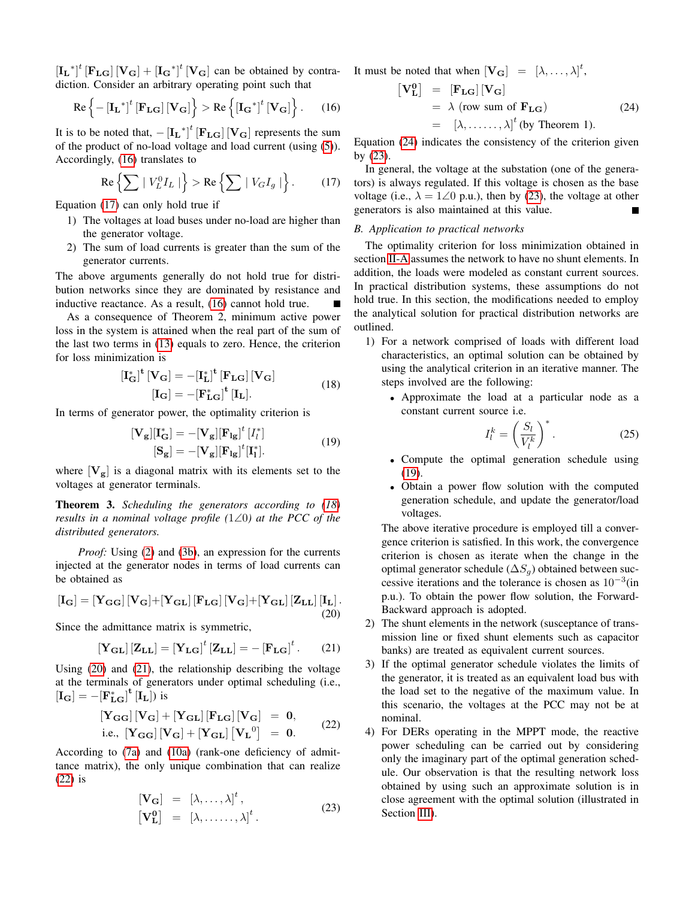$\left[\mathbf{I_L}^*\right]^t$   $\left[\mathbf{F_{LG}}\right] \left[\mathbf{V_G}\right] + \left[\mathbf{I_G}^*\right]^t \left[\mathbf{V_G}\right]$  can be obtained by contradiction. Consider an arbitrary operating point such that

<span id="page-2-1"></span>
$$
\operatorname{Re}\left\{-\left[\mathbf{I}_{\mathbf{L}}^{*}\right]^{t}\left[\mathbf{F}_{\mathbf{L}\mathbf{G}}\right]\left[\mathbf{V}_{\mathbf{G}}\right]\right\} > \operatorname{Re}\left\{\left[\mathbf{I}_{\mathbf{G}}^{*}\right]^{t}\left[\mathbf{V}_{\mathbf{G}}\right]\right\}.
$$
 (16)

It is to be noted that,  $- [\mathbf{I_L}^*]^t [\mathbf{F_{LG}}] [\mathbf{V_G}]$  represents the sum of the product of no-load voltage and load current (using [\(5\)](#page-1-0)). Accordingly, [\(16\)](#page-2-1) translates to

<span id="page-2-2"></span>
$$
\operatorname{Re}\left\{\sum \mid V_L^0 I_L \mid \right\} > \operatorname{Re}\left\{\sum \mid V_G I_g \mid \right\}.
$$
 (17)

Equation [\(17\)](#page-2-2) can only hold true if

- 1) The voltages at load buses under no-load are higher than the generator voltage.
- 2) The sum of load currents is greater than the sum of the generator currents.

The above arguments generally do not hold true for distribution networks since they are dominated by resistance and inductive reactance. As a result, [\(16\)](#page-2-1) cannot hold true.

As a consequence of Theorem 2, minimum active power loss in the system is attained when the real part of the sum of the last two terms in [\(13\)](#page-1-5) equals to zero. Hence, the criterion for loss minimization is

$$
\begin{aligned} \left[\mathbf{I}_{\mathbf{G}}^*\right]^{\mathbf{t}} \left[\mathbf{V}_{\mathbf{G}}\right] &= -\left[\mathbf{I}_{\mathbf{L}}^*\right]^{\mathbf{t}} \left[\mathbf{F}_{\mathbf{L}\mathbf{G}}\right] \left[\mathbf{V}_{\mathbf{G}}\right] \\ \left[\mathbf{I}_{\mathbf{G}}\right] &= -\left[\mathbf{F}_{\mathbf{L}\mathbf{G}}^*\right]^{\mathbf{t}} \left[\mathbf{I}_{\mathbf{L}}\right]. \end{aligned} \tag{18}
$$

<span id="page-2-9"></span><span id="page-2-3"></span>In terms of generator power, the optimality criterion is

$$
[\mathbf{V}_{\mathbf{g}}][\mathbf{I}_{\mathbf{G}}^{*}] = -[\mathbf{V}_{\mathbf{g}}][\mathbf{F}_{\mathbf{1g}}]^{t} [I_{l}^{*}]
$$
  
\n
$$
[\mathbf{S}_{\mathbf{g}}] = -[\mathbf{V}_{\mathbf{g}}][\mathbf{F}_{\mathbf{1g}}]^{t} [\mathbf{I}_{l}^{*}].
$$
\n(19)

where  $[\mathbf{V}_{\mathbf{g}}]$  is a diagonal matrix with its elements set to the voltages at generator terminals.

Theorem 3. *Scheduling the generators according to [\(18\)](#page-2-3) results in a nominal voltage profile (*1∠0*) at the PCC of the distributed generators.*

*Proof:* Using [\(2\)](#page-0-1) and [\(3b\)](#page-1-2), an expression for the currents injected at the generator nodes in terms of load currents can be obtained as

<span id="page-2-4"></span>
$$
\begin{bmatrix} \mathbf{I_G} \end{bmatrix} = \begin{bmatrix} \mathbf{Y_{GG}} \end{bmatrix} \begin{bmatrix} \mathbf{V_G} \end{bmatrix} + \begin{bmatrix} \mathbf{Y_{GL}} \end{bmatrix} \begin{bmatrix} \mathbf{F_{LG}} \end{bmatrix} \begin{bmatrix} \mathbf{V_G} \end{bmatrix} + \begin{bmatrix} \mathbf{Y_{GL}} \end{bmatrix} \begin{bmatrix} \mathbf{Z_{LL}} \end{bmatrix} \begin{bmatrix} \mathbf{I_L} \end{bmatrix}. \tag{20}
$$

Since the admittance matrix is symmetric,

<span id="page-2-5"></span>
$$
\left[\mathbf{Y}_{\mathbf{GL}}\right]\left[\mathbf{Z}_{\mathbf{LL}}\right] = \left[\mathbf{Y}_{\mathbf{LG}}\right]^t \left[\mathbf{Z}_{\mathbf{LL}}\right] = -\left[\mathbf{F}_{\mathbf{LG}}\right]^t. \tag{21}
$$

Using [\(20\)](#page-2-4) and [\(21\)](#page-2-5), the relationship describing the voltage at the terminals of generators under optimal scheduling (i.e.,  $[\mathbf{I}_{\mathbf{G}}] = -[\mathbf{F}_{\mathbf{LG}}^*]^{\mathbf{t}} [\mathbf{I}_{\mathbf{L}}])$  is

$$
[\mathbf{Y}_{\mathbf{G}\mathbf{G}}][\mathbf{V}_{\mathbf{G}}] + [\mathbf{Y}_{\mathbf{G}\mathbf{L}}][\mathbf{F}_{\mathbf{L}\mathbf{G}}][\mathbf{V}_{\mathbf{G}}] = \mathbf{0},
$$
  
i.e., 
$$
[\mathbf{Y}_{\mathbf{G}\mathbf{G}}][\mathbf{V}_{\mathbf{G}}] + [\mathbf{Y}_{\mathbf{G}\mathbf{L}}][\mathbf{V}_{\mathbf{L}}^0] = \mathbf{0}.
$$
 (22)

<span id="page-2-8"></span><span id="page-2-6"></span>According to [\(7a\)](#page-1-1) and [\(10a\)](#page-1-7) (rank-one deficiency of admittance matrix), the only unique combination that can realize [\(22\)](#page-2-6) is

$$
\begin{array}{rcl}\n[\mathbf{V}_{\mathbf{G}}] & = & [\lambda, \dots, \lambda]^t \,, \\
[\mathbf{V}_{\mathbf{L}}^0] & = & [\lambda, \dots, \lambda]^t \,.\n\end{array} \tag{23}
$$

<span id="page-2-7"></span>It must be noted that when  $[\mathbf{V}_{\mathbf{G}}] = [\lambda, \dots, \lambda]^t$ ,

$$
\begin{array}{rcl} \left[ \mathbf{V_{L}^{0}} \right] & = & \left[ \mathbf{F_{LG}} \right] \left[ \mathbf{V_{G}} \right] \\ & = & \lambda \text{ (row sum of } \mathbf{F_{LG}}) \\ & = & \left[ \lambda, \dots, \lambda \right]^t \text{ (by Theorem 1).} \end{array} \tag{24}
$$

Equation [\(24\)](#page-2-7) indicates the consistency of the criterion given by [\(23\)](#page-2-8).

In general, the voltage at the substation (one of the generators) is always regulated. If this voltage is chosen as the base voltage (i.e.,  $\lambda = 1\angle 0$  p.u.), then by [\(23\)](#page-2-8), the voltage at other generators is also maintained at this value.

#### <span id="page-2-0"></span>*B. Application to practical networks*

The optimality criterion for loss minimization obtained in section [II-A](#page-1-8) assumes the network to have no shunt elements. In addition, the loads were modeled as constant current sources. In practical distribution systems, these assumptions do not hold true. In this section, the modifications needed to employ the analytical solution for practical distribution networks are outlined.

- 1) For a network comprised of loads with different load characteristics, an optimal solution can be obtained by using the analytical criterion in an iterative manner. The steps involved are the following:
	- Approximate the load at a particular node as a constant current source i.e.

$$
I_l^k = \left(\frac{S_l}{V_l^k}\right)^*.
$$
 (25)

- Compute the optimal generation schedule using  $(19)$ .
- Obtain a power flow solution with the computed generation schedule, and update the generator/load voltages.

The above iterative procedure is employed till a convergence criterion is satisfied. In this work, the convergence criterion is chosen as iterate when the change in the optimal generator schedule ( $\Delta S_q$ ) obtained between successive iterations and the tolerance is chosen as  $10^{-3}$ (in p.u.). To obtain the power flow solution, the Forward-Backward approach is adopted.

- 2) The shunt elements in the network (susceptance of transmission line or fixed shunt elements such as capacitor banks) are treated as equivalent current sources.
- 3) If the optimal generator schedule violates the limits of the generator, it is treated as an equivalent load bus with the load set to the negative of the maximum value. In this scenario, the voltages at the PCC may not be at nominal.
- 4) For DERs operating in the MPPT mode, the reactive power scheduling can be carried out by considering only the imaginary part of the optimal generation schedule. Our observation is that the resulting network loss obtained by using such an approximate solution is in close agreement with the optimal solution (illustrated in Section [III\)](#page-3-0).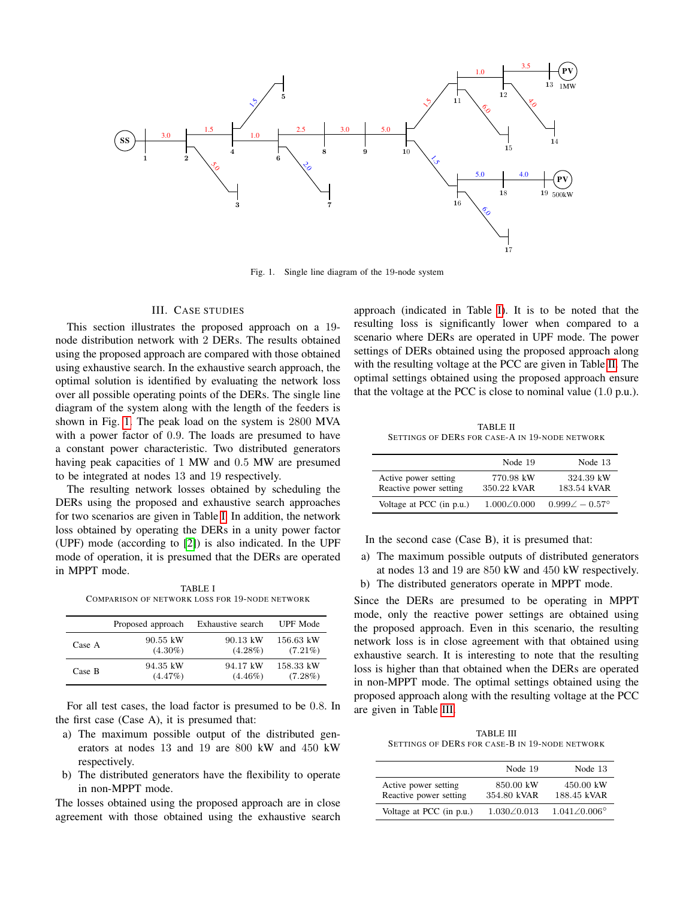

Fig. 1. Single line diagram of the 19-node system

### III. CASE STUDIES

<span id="page-3-0"></span>This section illustrates the proposed approach on a 19 node distribution network with 2 DERs. The results obtained using the proposed approach are compared with those obtained using exhaustive search. In the exhaustive search approach, the optimal solution is identified by evaluating the network loss over all possible operating points of the DERs. The single line diagram of the system along with the length of the feeders is shown in Fig. [1.](#page-3-1) The peak load on the system is 2800 MVA with a power factor of 0.9. The loads are presumed to have a constant power characteristic. Two distributed generators having peak capacities of 1 MW and 0.5 MW are presumed to be integrated at nodes 13 and 19 respectively.

The resulting network losses obtained by scheduling the DERs using the proposed and exhaustive search approaches for two scenarios are given in Table [I.](#page-3-2) In addition, the network loss obtained by operating the DERs in a unity power factor (UPF) mode (according to [\[2\]](#page-4-1)) is also indicated. In the UPF mode of operation, it is presumed that the DERs are operated in MPPT mode.

TABLE I COMPARISON OF NETWORK LOSS FOR 19-NODE NETWORK

<span id="page-3-2"></span>

|        | Proposed approach | Exhaustive search | <b>UPF</b> Mode |
|--------|-------------------|-------------------|-----------------|
| Case A | 90.55 kW          | 90.13 kW          | 156.63 kW       |
|        | $(4.30\%)$        | $(4.28\%)$        | $(7.21\%)$      |
| Case B | 94.35 kW          | 94.17 kW          | 158.33 kW       |
|        | $(4.47\%)$        | $(4.46\%)$        | $(7.28\%)$      |

For all test cases, the load factor is presumed to be 0.8. In the first case (Case A), it is presumed that:

- a) The maximum possible output of the distributed generators at nodes 13 and 19 are 800 kW and 450 kW respectively.
- b) The distributed generators have the flexibility to operate in non-MPPT mode.

The losses obtained using the proposed approach are in close agreement with those obtained using the exhaustive search

<span id="page-3-1"></span>approach (indicated in Table [I\)](#page-3-2). It is to be noted that the resulting loss is significantly lower when compared to a scenario where DERs are operated in UPF mode. The power settings of DERs obtained using the proposed approach along with the resulting voltage at the PCC are given in Table [II.](#page-3-3) The optimal settings obtained using the proposed approach ensure that the voltage at the PCC is close to nominal value (1.0 p.u.).

TABLE II SETTINGS OF DERS FOR CASE-A IN 19-NODE NETWORK

<span id="page-3-3"></span>

|                                                | Node 19                  | Node 13                     |
|------------------------------------------------|--------------------------|-----------------------------|
| Active power setting<br>Reactive power setting | 770.98 kW<br>350.22 kVAR | 324.39 kW<br>183.54 kVAR    |
| Voltage at PCC (in p.u.)                       | $1.000 \times 0.000$     | $0.999\angle -0.57^{\circ}$ |

In the second case (Case B), it is presumed that:

- a) The maximum possible outputs of distributed generators at nodes 13 and 19 are 850 kW and 450 kW respectively.
- b) The distributed generators operate in MPPT mode.

Since the DERs are presumed to be operating in MPPT mode, only the reactive power settings are obtained using the proposed approach. Even in this scenario, the resulting network loss is in close agreement with that obtained using exhaustive search. It is interesting to note that the resulting loss is higher than that obtained when the DERs are operated in non-MPPT mode. The optimal settings obtained using the proposed approach along with the resulting voltage at the PCC are given in Table [III.](#page-3-4)

TABLE III SETTINGS OF DERS FOR CASE-B IN 19-NODE NETWORK

<span id="page-3-4"></span>

|                                                | Node 19                  | Node 13                     |
|------------------------------------------------|--------------------------|-----------------------------|
| Active power setting<br>Reactive power setting | 850.00 kW<br>354.80 kVAR | 450.00 kW<br>188.45 kVAR    |
| Voltage at PCC (in p.u.)                       | $1.030\angle 0.013$      | $1.041\angle 0.006^{\circ}$ |